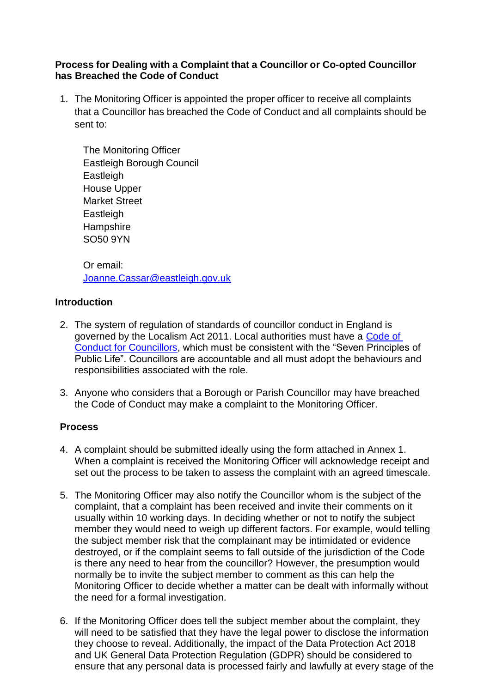## **Process for Dealing with a Complaint that a Councillor or Co-opted Councillor has Breached the Code of Conduct**

1. The Monitoring Officer is appointed the proper officer to receive all complaints that a Councillor has breached the Code of Conduct and all complaints should be sent to:

The Monitoring Officer Eastleigh Borough Council Eastleigh House Upper Market Street **Eastleigh Hampshire** SO50 9YN

Or email: [Joanne.Cassar@eastleigh.gov.uk](mailto:Joanne.Cassar@eastleigh.gov.uk)

# **Introduction**

- 2. The system of regulation of standards of councillor conduct in England is governed by the Localism Act 2011. Local authorities must have a [Code of](https://www.eastleigh.gov.uk/council/councillors-meetings-and-decision-making/our-constitution)  [Conduct for Councillors,](https://www.eastleigh.gov.uk/council/councillors-meetings-and-decision-making/our-constitution) which must be consistent with the "Seven Principles of Public Life". Councillors are accountable and all must adopt the behaviours and responsibilities associated with the role.
- 3. Anyone who considers that a Borough or Parish Councillor may have breached the Code of Conduct may make a complaint to the Monitoring Officer.

# **Process**

- 4. A complaint should be submitted ideally using the form attached in Annex 1. When a complaint is received the Monitoring Officer will acknowledge receipt and set out the process to be taken to assess the complaint with an agreed timescale.
- 5. The Monitoring Officer may also notify the Councillor whom is the subject of the complaint, that a complaint has been received and invite their comments on it usually within 10 working days. In deciding whether or not to notify the subject member they would need to weigh up different factors. For example, would telling the subject member risk that the complainant may be intimidated or evidence destroyed, or if the complaint seems to fall outside of the jurisdiction of the Code is there any need to hear from the councillor? However, the presumption would normally be to invite the subject member to comment as this can help the Monitoring Officer to decide whether a matter can be dealt with informally without the need for a formal investigation.
- 6. If the Monitoring Officer does tell the subject member about the complaint, they will need to be satisfied that they have the legal power to disclose the information they choose to reveal. Additionally, the impact of the Data Protection Act 2018 and UK General Data Protection Regulation (GDPR) should be considered to ensure that any personal data is processed fairly and lawfully at every stage of the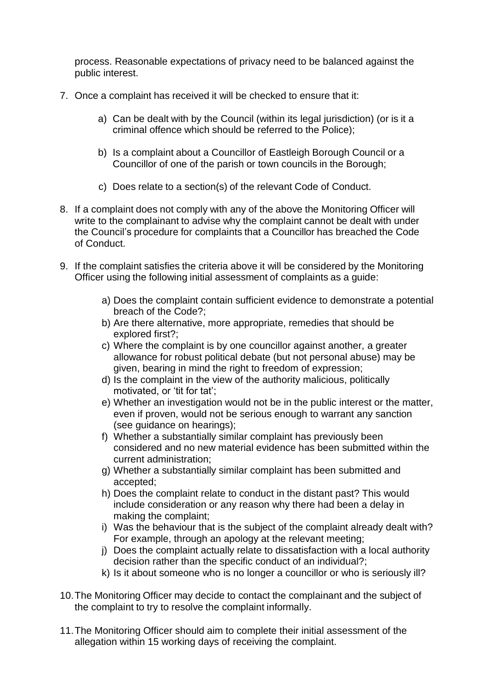process. Reasonable expectations of privacy need to be balanced against the public interest.

- 7. Once a complaint has received it will be checked to ensure that it:
	- a) Can be dealt with by the Council (within its legal jurisdiction) (or is it a criminal offence which should be referred to the Police);
	- b) Is a complaint about a Councillor of Eastleigh Borough Council or a Councillor of one of the parish or town councils in the Borough;
	- c) Does relate to a section(s) of the relevant Code of Conduct.
- 8. If a complaint does not comply with any of the above the Monitoring Officer will write to the complainant to advise why the complaint cannot be dealt with under the Council's procedure for complaints that a Councillor has breached the Code of Conduct.
- 9. If the complaint satisfies the criteria above it will be considered by the Monitoring Officer using the following initial assessment of complaints as a guide:
	- a) Does the complaint contain sufficient evidence to demonstrate a potential breach of the Code?;
	- b) Are there alternative, more appropriate, remedies that should be explored first?;
	- c) Where the complaint is by one councillor against another, a greater allowance for robust political debate (but not personal abuse) may be given, bearing in mind the right to freedom of expression;
	- d) Is the complaint in the view of the authority malicious, politically motivated, or 'tit for tat';
	- e) Whether an investigation would not be in the public interest or the matter, even if proven, would not be serious enough to warrant any sanction (see guidance on hearings);
	- f) Whether a substantially similar complaint has previously been considered and no new material evidence has been submitted within the current administration;
	- g) Whether a substantially similar complaint has been submitted and accepted;
	- h) Does the complaint relate to conduct in the distant past? This would include consideration or any reason why there had been a delay in making the complaint;
	- i) Was the behaviour that is the subject of the complaint already dealt with? For example, through an apology at the relevant meeting;
	- j) Does the complaint actually relate to dissatisfaction with a local authority decision rather than the specific conduct of an individual?;
	- k) Is it about someone who is no longer a councillor or who is seriously ill?
- 10.The Monitoring Officer may decide to contact the complainant and the subject of the complaint to try to resolve the complaint informally.
- 11.The Monitoring Officer should aim to complete their initial assessment of the allegation within 15 working days of receiving the complaint.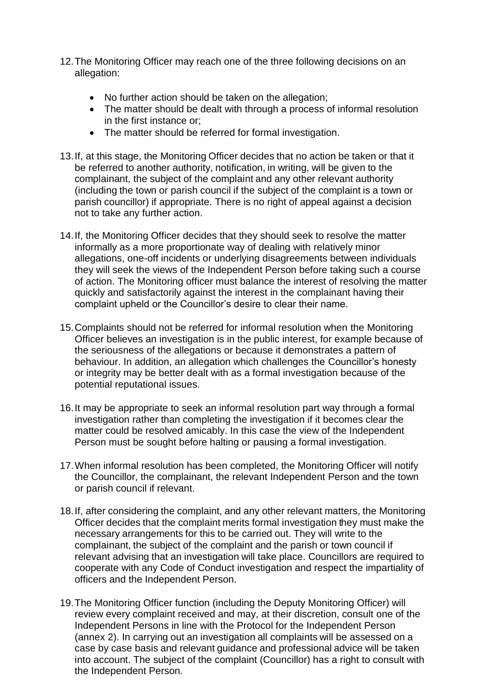- 12.The Monitoring Officer may reach one of the three following decisions on an allegation:
	- No further action should be taken on the allegation;
	- The matter should be dealt with through a process of informal resolution in the first instance or;
	- The matter should be referred for formal investigation.
- 13.If, at this stage, the Monitoring Officer decides that no action be taken or that it be referred to another authority, notification, in writing, will be given to the complainant, the subject of the complaint and any other relevant authority (including the town or parish council if the subject of the complaint is a town or parish councillor) if appropriate. There is no right of appeal against a decision not to take any further action.
- 14.If, the Monitoring Officer decides that they should seek to resolve the matter informally as a more proportionate way of dealing with relatively minor allegations, one-off incidents or underlying disagreements between individuals they will seek the views of the Independent Person before taking such a course of action. The Monitoring officer must balance the interest of resolving the matter quickly and satisfactorily against the interest in the complainant having their complaint upheld or the Councillor's desire to clear their name.
- 15.Complaints should not be referred for informal resolution when the Monitoring Officer believes an investigation is in the public interest, for example because of the seriousness of the allegations or because it demonstrates a pattern of behaviour. In addition, an allegation which challenges the Councillor's honesty or integrity may be better dealt with as a formal investigation because of the potential reputational issues.
- 16.It may be appropriate to seek an informal resolution part way through a formal investigation rather than completing the investigation if it becomes clear the matter could be resolved amicably. In this case the view of the Independent Person must be sought before halting or pausing a formal investigation.
- 17.When informal resolution has been completed, the Monitoring Officer will notify the Councillor, the complainant, the relevant Independent Person and the town or parish council if relevant.
- 18.If, after considering the complaint, and any other relevant matters, the Monitoring Officer decides that the complaint merits formal investigation they must make the necessary arrangements for this to be carried out. They will write to the complainant, the subject of the complaint and the parish or town council if relevant advising that an investigation will take place. Councillors are required to cooperate with any Code of Conduct investigation and respect the impartiality of officers and the Independent Person.
- 19.The Monitoring Officer function (including the Deputy Monitoring Officer) will review every complaint received and may, at their discretion, consult one of the Independent Persons in line with the Protocol for the Independent Person (annex 2). In carrying out an investigation all complaints will be assessed on a case by case basis and relevant guidance and professional advice will be taken into account. The subject of the complaint (Councillor) has a right to consult with the Independent Person.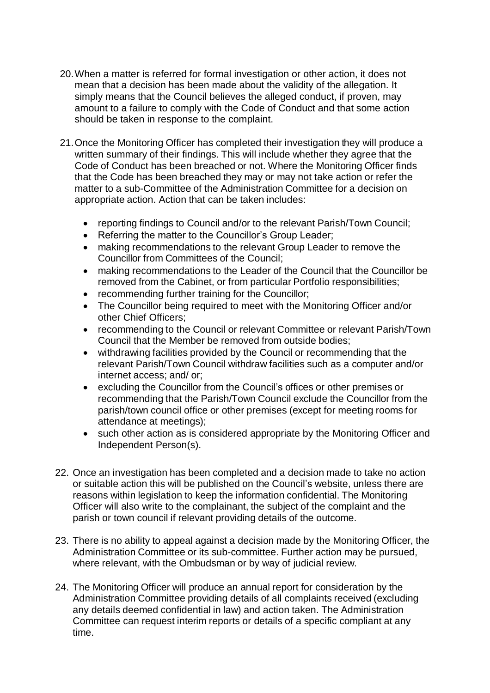- 20.When a matter is referred for formal investigation or other action, it does not mean that a decision has been made about the validity of the allegation. It simply means that the Council believes the alleged conduct, if proven, may amount to a failure to comply with the Code of Conduct and that some action should be taken in response to the complaint.
- 21.Once the Monitoring Officer has completed their investigation they will produce a written summary of their findings. This will include whether they agree that the Code of Conduct has been breached or not. Where the Monitoring Officer finds that the Code has been breached they may or may not take action or refer the matter to a sub-Committee of the Administration Committee for a decision on appropriate action. Action that can be taken includes:
	- reporting findings to Council and/or to the relevant Parish/Town Council;
	- Referring the matter to the Councillor's Group Leader;
	- making recommendations to the relevant Group Leader to remove the Councillor from Committees of the Council;
	- making recommendations to the Leader of the Council that the Councillor be removed from the Cabinet, or from particular Portfolio responsibilities;
	- recommending further training for the Councillor;
	- The Councillor being required to meet with the Monitoring Officer and/or other Chief Officers;
	- recommending to the Council or relevant Committee or relevant Parish/Town Council that the Member be removed from outside bodies;
	- withdrawing facilities provided by the Council or recommending that the relevant Parish/Town Council withdraw facilities such as a computer and/or internet access; and/ or;
	- excluding the Councillor from the Council's offices or other premises or recommending that the Parish/Town Council exclude the Councillor from the parish/town council office or other premises (except for meeting rooms for attendance at meetings);
	- such other action as is considered appropriate by the Monitoring Officer and Independent Person(s).
- 22. Once an investigation has been completed and a decision made to take no action or suitable action this will be published on the Council's website, unless there are reasons within legislation to keep the information confidential. The Monitoring Officer will also write to the complainant, the subject of the complaint and the parish or town council if relevant providing details of the outcome.
- 23. There is no ability to appeal against a decision made by the Monitoring Officer, the Administration Committee or its sub-committee. Further action may be pursued, where relevant, with the Ombudsman or by way of judicial review.
- 24. The Monitoring Officer will produce an annual report for consideration by the Administration Committee providing details of all complaints received (excluding any details deemed confidential in law) and action taken. The Administration Committee can request interim reports or details of a specific compliant at any time.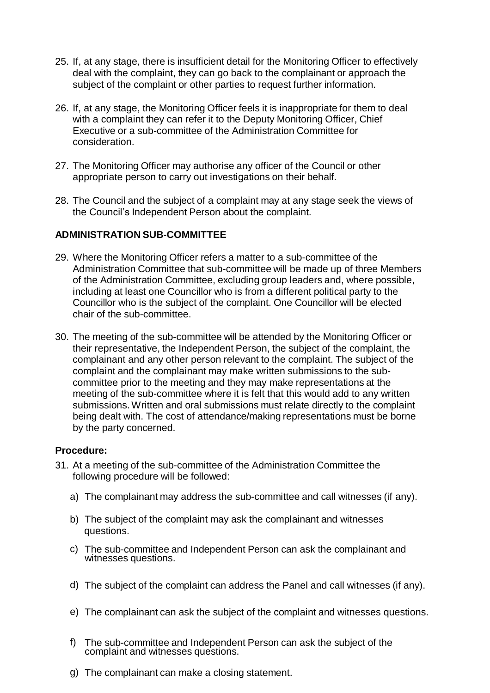- 25. If, at any stage, there is insufficient detail for the Monitoring Officer to effectively deal with the complaint, they can go back to the complainant or approach the subject of the complaint or other parties to request further information.
- 26. If, at any stage, the Monitoring Officer feels it is inappropriate for them to deal with a complaint they can refer it to the Deputy Monitoring Officer, Chief Executive or a sub-committee of the Administration Committee for consideration.
- 27. The Monitoring Officer may authorise any officer of the Council or other appropriate person to carry out investigations on their behalf.
- 28. The Council and the subject of a complaint may at any stage seek the views of the Council's Independent Person about the complaint.

### **ADMINISTRATION SUB-COMMITTEE**

- 29. Where the Monitoring Officer refers a matter to a sub-committee of the Administration Committee that sub-committee will be made up of three Members of the Administration Committee, excluding group leaders and, where possible, including at least one Councillor who is from a different political party to the Councillor who is the subject of the complaint. One Councillor will be elected chair of the sub-committee.
- 30. The meeting of the sub-committee will be attended by the Monitoring Officer or their representative, the Independent Person, the subject of the complaint, the complainant and any other person relevant to the complaint. The subject of the complaint and the complainant may make written submissions to the subcommittee prior to the meeting and they may make representations at the meeting of the sub-committee where it is felt that this would add to any written submissions.Written and oral submissions must relate directly to the complaint being dealt with. The cost of attendance/making representations must be borne by the party concerned.

#### **Procedure:**

- 31. At a meeting of the sub-committee of the Administration Committee the following procedure will be followed:
	- a) The complainant may address the sub-committee and call witnesses (if any).
	- b) The subject of the complaint may ask the complainant and witnesses questions.
	- c) The sub-committee and Independent Person can ask the complainant and witnesses questions.
	- d) The subject of the complaint can address the Panel and call witnesses (if any).
	- e) The complainant can ask the subject of the complaint and witnesses questions.
	- f) The sub-committee and Independent Person can ask the subject of the complaint and witnesses questions.
	- g) The complainant can make a closing statement.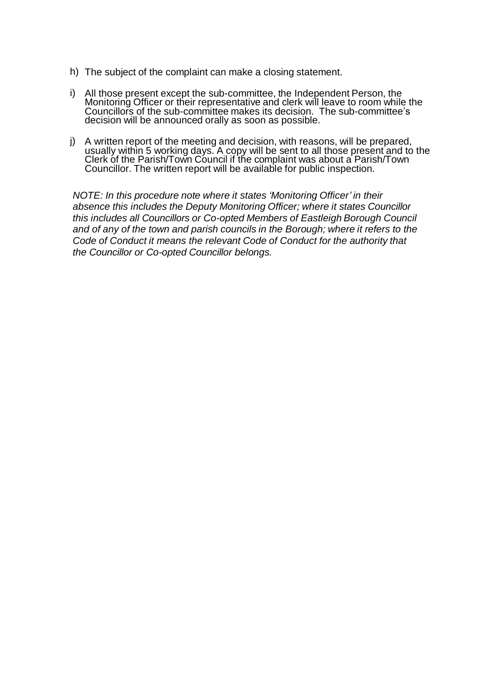- h) The subject of the complaint can make a closing statement.
- i) All those present except the sub-committee, the Independent Person, the Monitoring Officer or their representative and clerk will leave to room while the Councillors of the sub-committee makes its decision. The sub-committee's decision will be announced orally as soon as possible.
- j) A written report of the meeting and decision, with reasons, will be prepared, usually within 5 working days. A copy will be sent to all those present and to the Clerk of the Parish/Town Council if the complaint was about a Parish/Town Councillor. The written report will be available for public inspection.

*NOTE: In this procedure note where it states 'Monitoring Officer' in their absence this includes the Deputy Monitoring Officer; where it states Councillor this includes all Councillors or Co-opted Members of Eastleigh Borough Council and of any of the town and parish councils in the Borough; where it refers to the Code of Conduct it means the relevant Code of Conduct for the authority that the Councillor or Co-opted Councillor belongs.*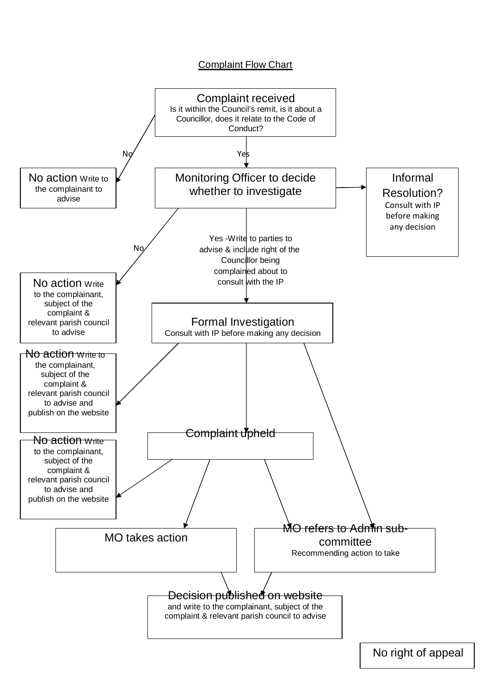# **Complaint Flow Chart**



No right of appeal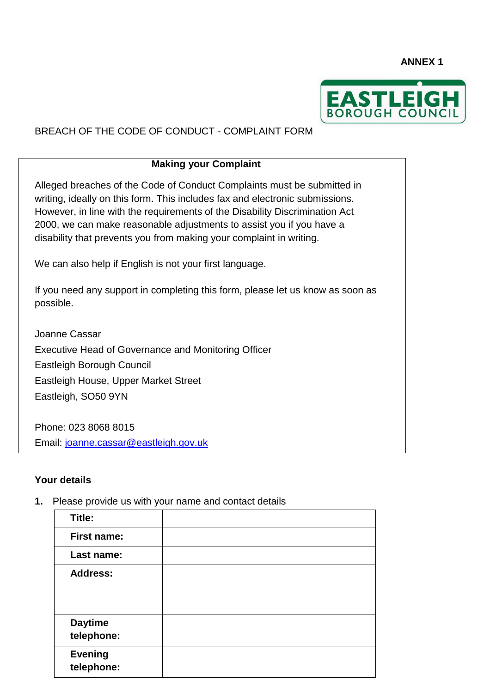**ANNEX 1** 



# BREACH OF THE CODE OF CONDUCT - COMPLAINT FORM

## **Making your Complaint**

Alleged breaches of the Code of Conduct Complaints must be submitted in writing, ideally on this form. This includes fax and electronic submissions. However, in line with the requirements of the Disability Discrimination Act 2000, we can make reasonable adjustments to assist you if you have a disability that prevents you from making your complaint in writing.

We can also help if English is not your first language.

If you need any support in completing this form, please let us know as soon as possible.

Joanne Cassar Executive Head of Governance and Monitoring Officer Eastleigh Borough Council Eastleigh House, Upper Market Street Eastleigh, SO50 9YN

Phone: 023 8068 8015 Email: [joanne.cassar@eastleigh.gov.uk](mailto:joanne.cassar@eastleigh.gov.uk)

### **Your details**

**1.** Please provide us with your name and contact details

| Title:             |  |
|--------------------|--|
| <b>First name:</b> |  |
| Last name:         |  |
| <b>Address:</b>    |  |
|                    |  |
|                    |  |
| <b>Daytime</b>     |  |
| telephone:         |  |
| <b>Evening</b>     |  |
| telephone:         |  |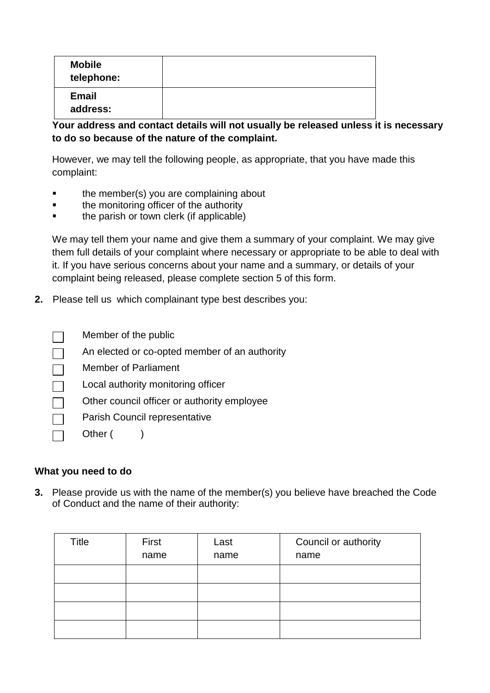| <b>Mobile</b><br>telephone: |  |
|-----------------------------|--|
| <b>Email</b><br>address:    |  |

**Your address and contact details will not usually be released unless it is necessary to do so because of the nature of the complaint.** 

However, we may tell the following people, as appropriate, that you have made this complaint:

- the member(s) you are complaining about
- the monitoring officer of the authority
- the parish or town clerk (if applicable)

We may tell them your name and give them a summary of your complaint. We may give them full details of your complaint where necessary or appropriate to be able to deal with it. If you have serious concerns about your name and a summary, or details of your complaint being released, please complete section 5 of this form.

**2.** Please tell us which complainant type best describes you:

| Member of the public |
|----------------------|
|----------------------|

- An elected or co-opted member of an authority
- Member of Parliament  $\Box$
- Local authority monitoring officer
- Other council officer or authority employee
- Parish Council representative
	- Other ()

# **What you need to do**

**3.** Please provide us with the name of the member(s) you believe have breached the Code of Conduct and the name of their authority:

| Title | First | Last | Council or authority |
|-------|-------|------|----------------------|
|       | name  | name | name                 |
|       |       |      |                      |
|       |       |      |                      |
|       |       |      |                      |
|       |       |      |                      |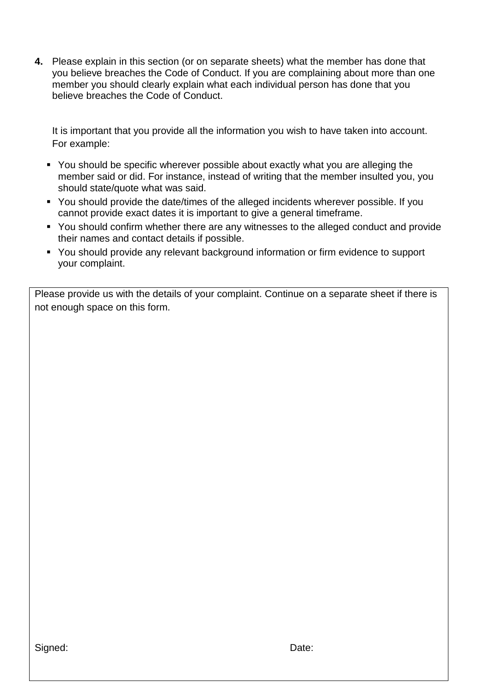**4.** Please explain in this section (or on separate sheets) what the member has done that you believe breaches the Code of Conduct. If you are complaining about more than one member you should clearly explain what each individual person has done that you believe breaches the Code of Conduct.

It is important that you provide all the information you wish to have taken into account. For example:

- You should be specific wherever possible about exactly what you are alleging the member said or did. For instance, instead of writing that the member insulted you, you should state/quote what was said.
- You should provide the date/times of the alleged incidents wherever possible. If you cannot provide exact dates it is important to give a general timeframe.
- You should confirm whether there are any witnesses to the alleged conduct and provide their names and contact details if possible.
- You should provide any relevant background information or firm evidence to support your complaint.

Please provide us with the details of your complaint. Continue on a separate sheet if there is not enough space on this form.

Signed: Date: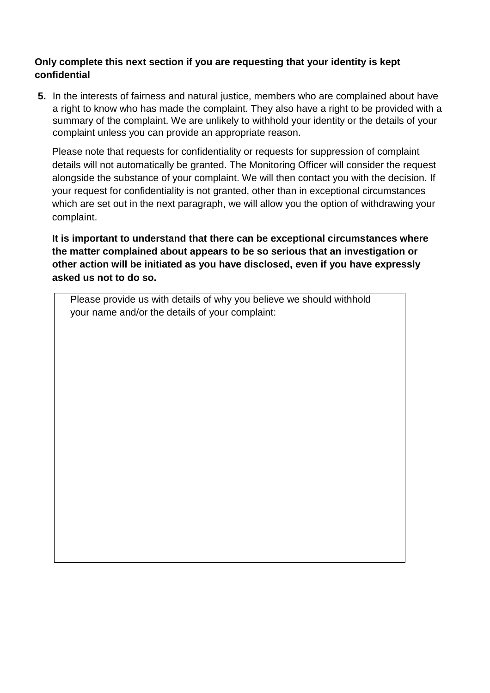# **Only complete this next section if you are requesting that your identity is kept confidential**

**5.** In the interests of fairness and natural justice, members who are complained about have a right to know who has made the complaint. They also have a right to be provided with a summary of the complaint. We are unlikely to withhold your identity or the details of your complaint unless you can provide an appropriate reason.

Please note that requests for confidentiality or requests for suppression of complaint details will not automatically be granted. The Monitoring Officer will consider the request alongside the substance of your complaint. We will then contact you with the decision. If your request for confidentiality is not granted, other than in exceptional circumstances which are set out in the next paragraph, we will allow you the option of withdrawing your complaint.

**It is important to understand that there can be exceptional circumstances where the matter complained about appears to be so serious that an investigation or other action will be initiated as you have disclosed, even if you have expressly asked us not to do so.**

Please provide us with details of why you believe we should withhold your name and/or the details of your complaint: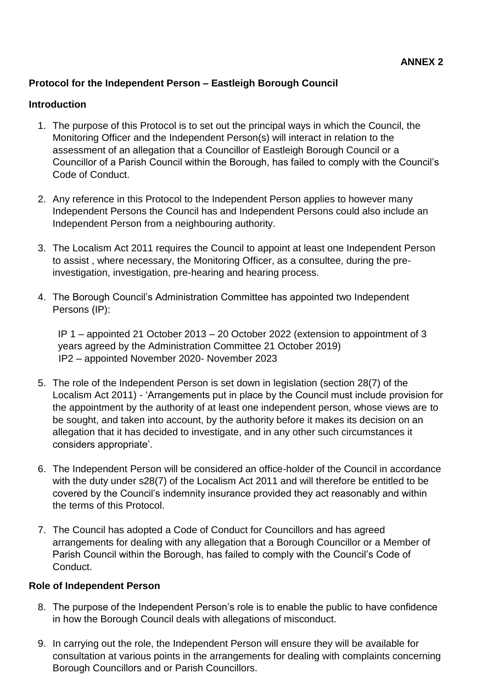# **Protocol for the Independent Person – Eastleigh Borough Council**

## **Introduction**

- 1. The purpose of this Protocol is to set out the principal ways in which the Council, the Monitoring Officer and the Independent Person(s) will interact in relation to the assessment of an allegation that a Councillor of Eastleigh Borough Council or a Councillor of a Parish Council within the Borough, has failed to comply with the Council's Code of Conduct.
- 2. Any reference in this Protocol to the Independent Person applies to however many Independent Persons the Council has and Independent Persons could also include an Independent Person from a neighbouring authority.
- 3. The Localism Act 2011 requires the Council to appoint at least one Independent Person to assist , where necessary, the Monitoring Officer, as a consultee, during the preinvestigation, investigation, pre-hearing and hearing process.
- 4. The Borough Council's Administration Committee has appointed two Independent Persons (IP):

IP 1 – appointed 21 October 2013 – 20 October 2022 (extension to appointment of 3 years agreed by the Administration Committee 21 October 2019) IP2 – appointed November 2020- November 2023

- 5. The role of the Independent Person is set down in legislation (section 28(7) of the Localism Act 2011) - 'Arrangements put in place by the Council must include provision for the appointment by the authority of at least one independent person, whose views are to be sought, and taken into account, by the authority before it makes its decision on an allegation that it has decided to investigate, and in any other such circumstances it considers appropriate'.
- 6. The Independent Person will be considered an office-holder of the Council in accordance with the duty under s28(7) of the Localism Act 2011 and will therefore be entitled to be covered by the Council's indemnity insurance provided they act reasonably and within the terms of this Protocol.
- 7. The Council has adopted a Code of Conduct for Councillors and has agreed arrangements for dealing with any allegation that a Borough Councillor or a Member of Parish Council within the Borough, has failed to comply with the Council's Code of Conduct.

### **Role of Independent Person**

- 8. The purpose of the Independent Person's role is to enable the public to have confidence in how the Borough Council deals with allegations of misconduct.
- 9. In carrying out the role, the Independent Person will ensure they will be available for consultation at various points in the arrangements for dealing with complaints concerning Borough Councillors and or Parish Councillors.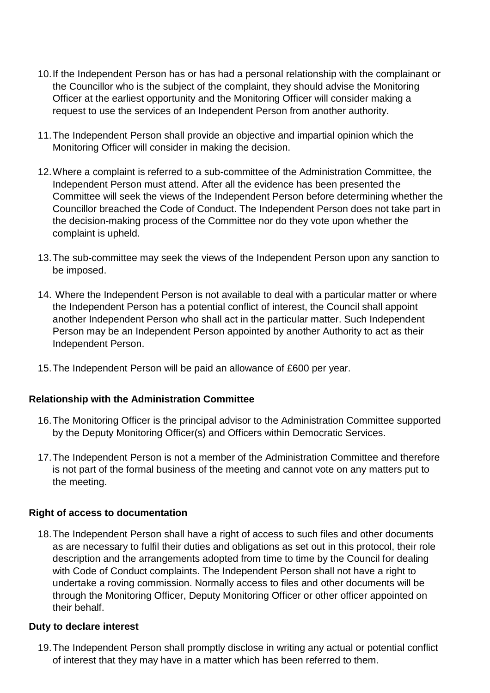- 10.If the Independent Person has or has had a personal relationship with the complainant or the Councillor who is the subject of the complaint, they should advise the Monitoring Officer at the earliest opportunity and the Monitoring Officer will consider making a request to use the services of an Independent Person from another authority.
- 11.The Independent Person shall provide an objective and impartial opinion which the Monitoring Officer will consider in making the decision.
- 12.Where a complaint is referred to a sub-committee of the Administration Committee, the Independent Person must attend. After all the evidence has been presented the Committee will seek the views of the Independent Person before determining whether the Councillor breached the Code of Conduct. The Independent Person does not take part in the decision-making process of the Committee nor do they vote upon whether the complaint is upheld.
- 13.The sub-committee may seek the views of the Independent Person upon any sanction to be imposed.
- 14. Where the Independent Person is not available to deal with a particular matter or where the Independent Person has a potential conflict of interest, the Council shall appoint another Independent Person who shall act in the particular matter. Such Independent Person may be an Independent Person appointed by another Authority to act as their Independent Person.
- 15.The Independent Person will be paid an allowance of £600 per year.

# **Relationship with the Administration Committee**

- 16.The Monitoring Officer is the principal advisor to the Administration Committee supported by the Deputy Monitoring Officer(s) and Officers within Democratic Services.
- 17.The Independent Person is not a member of the Administration Committee and therefore is not part of the formal business of the meeting and cannot vote on any matters put to the meeting.

### **Right of access to documentation**

18.The Independent Person shall have a right of access to such files and other documents as are necessary to fulfil their duties and obligations as set out in this protocol, their role description and the arrangements adopted from time to time by the Council for dealing with Code of Conduct complaints. The Independent Person shall not have a right to undertake a roving commission. Normally access to files and other documents will be through the Monitoring Officer, Deputy Monitoring Officer or other officer appointed on their behalf.

### **Duty to declare interest**

19.The Independent Person shall promptly disclose in writing any actual or potential conflict of interest that they may have in a matter which has been referred to them.